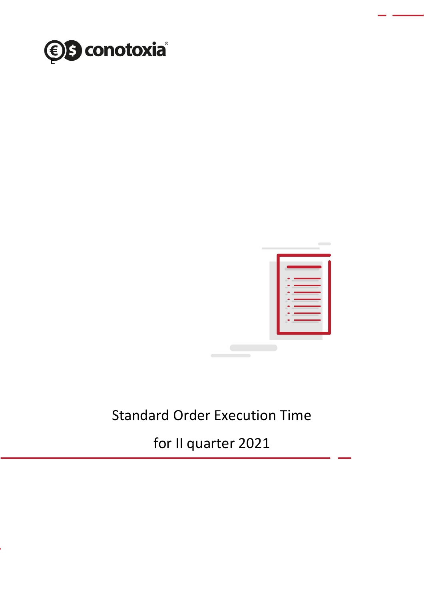



## Standard Order Execution Time

for II quarter 2021